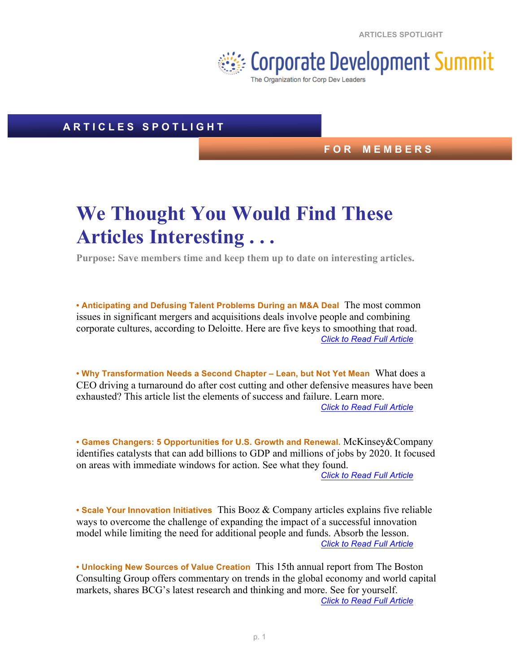**ARTICLES SPOTLIGHT**



## **A R T I C L E S S P O T L I G H T**

## **F O R M E M B E R S**

## **We Thought You Would Find These Articles Interesting . . .**

**Purpose: Save members time and keep them up to date on interesting articles.**

**• Anticipating and Defusing Talent Problems During an M&A Deal** The most common issues in significant mergers and acquisitions deals involve people and combining corporate cultures, according to Deloitte. Here are five keys to smoothing that road. *Click to Read Full Article*

**• Why Transformation Needs a Second Chapter – Lean, but Not Yet Mean** What does a CEO driving a turnaround do after cost cutting and other defensive measures have been exhausted? This article list the elements of success and failure. Learn more. *Click to Read Full Article*

**• Games Changers: 5 Opportunities for U.S. Growth and Renewal.** McKinsey&Company identifies catalysts that can add billions to GDP and millions of jobs by 2020. It focused on areas with immediate windows for action. See what they found.

*Click to Read Full Article*

**• Scale Your Innovation Initiatives** This Booz & Company articles explains five reliable ways to overcome the challenge of expanding the impact of a successful innovation model while limiting the need for additional people and funds. Absorb the lesson. *Click to Read Full Article*

**• Unlocking New Sources of Value Creation** This 15th annual report from The Boston Consulting Group offers commentary on trends in the global economy and world capital markets, shares BCG's latest research and thinking and more. See for yourself. *Click to Read Full Article*